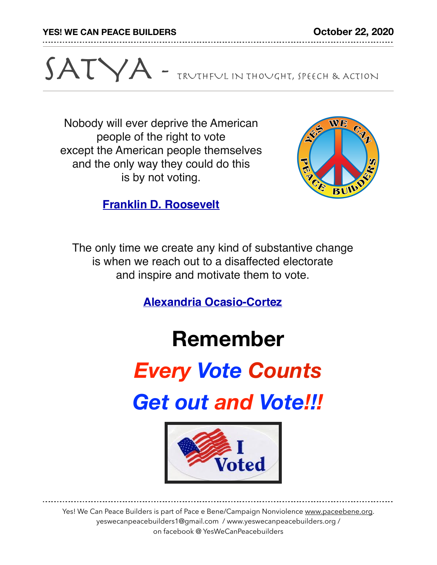**YES! WE CAN PEACE BUILDERS October 22, 2020**



Nobody will ever deprive the American people of the right to vote except the American people themselves and the only way they could do this is by not voting.



**[Franklin D. Roosevelt](https://www.brainyquote.com/authors/franklin-d-roosevelt-quotes)**

The only time we create any kind of substantive change is when we reach out to a disaffected electorate and inspire and motivate them to vote.

**[Alexandria Ocasio-Cortez](https://www.brainyquote.com/authors/alexandria-ocasio-cortez-quotes)**

## **Remember**

# *Every Vote Counts*

*Get out and Vote!!!*



Yes! We Can Peace Builders is part of Pace e Bene/Campaign Nonviolence [www.paceebene.org](http://www.paceebene.org). yeswecanpeacebuilders1@gmail.com / www.yeswecanpeacebuilders.org / on facebook @ YesWeCanPeacebuilders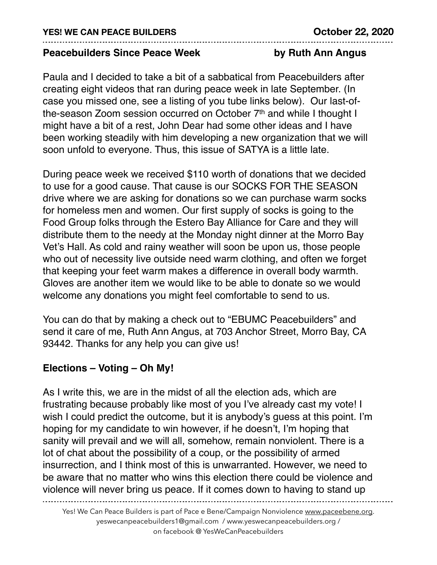#### **Peacebuilders Since Peace Week by Ruth Ann Angus**

Paula and I decided to take a bit of a sabbatical from Peacebuilders after creating eight videos that ran during peace week in late September. (In case you missed one, see a listing of you tube links below). Our last-ofthe-season Zoom session occurred on October 7th and while I thought I might have a bit of a rest, John Dear had some other ideas and I have been working steadily with him developing a new organization that we will soon unfold to everyone. Thus, this issue of SATYA is a little late.

During peace week we received \$110 worth of donations that we decided to use for a good cause. That cause is our SOCKS FOR THE SEASON drive where we are asking for donations so we can purchase warm socks for homeless men and women. Our first supply of socks is going to the Food Group folks through the Estero Bay Alliance for Care and they will distribute them to the needy at the Monday night dinner at the Morro Bay Vet's Hall. As cold and rainy weather will soon be upon us, those people who out of necessity live outside need warm clothing, and often we forget that keeping your feet warm makes a difference in overall body warmth. Gloves are another item we would like to be able to donate so we would welcome any donations you might feel comfortable to send to us.

You can do that by making a check out to "EBUMC Peacebuilders" and send it care of me, Ruth Ann Angus, at 703 Anchor Street, Morro Bay, CA 93442. Thanks for any help you can give us!

### **Elections – Voting – Oh My!**

As I write this, we are in the midst of all the election ads, which are frustrating because probably like most of you I've already cast my vote! I wish I could predict the outcome, but it is anybody's guess at this point. I'm hoping for my candidate to win however, if he doesn't, I'm hoping that sanity will prevail and we will all, somehow, remain nonviolent. There is a lot of chat about the possibility of a coup, or the possibility of armed insurrection, and I think most of this is unwarranted. However, we need to be aware that no matter who wins this election there could be violence and violence will never bring us peace. If it comes down to having to stand up

Yes! We Can Peace Builders is part of Pace e Bene/Campaign Nonviolence [www.paceebene.org](http://www.paceebene.org). yeswecanpeacebuilders1@gmail.com / www.yeswecanpeacebuilders.org / on facebook @ YesWeCanPeacebuilders